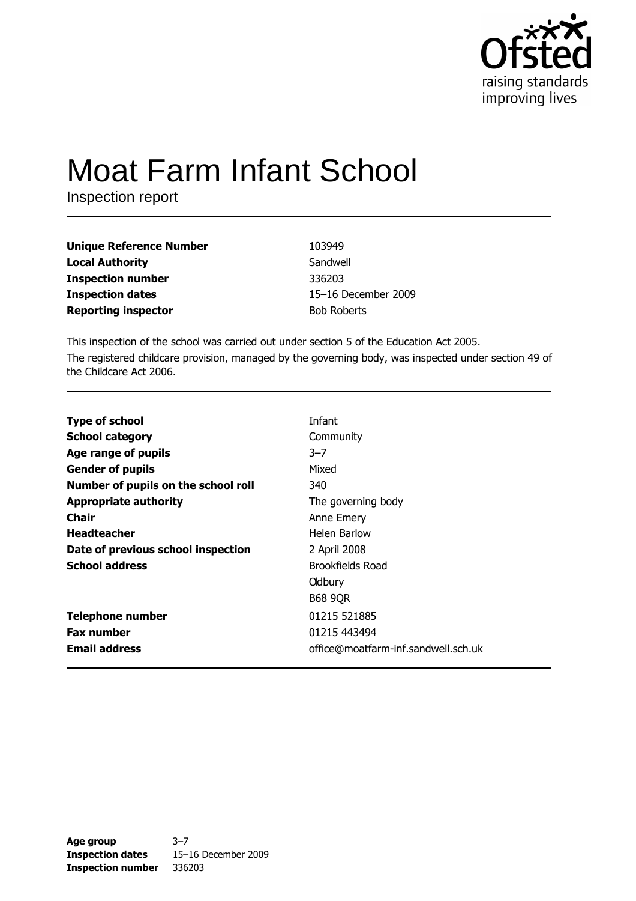

# **Moat Farm Infant School**

Inspection report

| <b>Unique Reference Number</b> | 103949              |
|--------------------------------|---------------------|
| <b>Local Authority</b>         | Sandwell            |
| <b>Inspection number</b>       | 336203              |
| <b>Inspection dates</b>        | 15-16 December 2009 |
| <b>Reporting inspector</b>     | <b>Bob Roberts</b>  |

This inspection of the school was carried out under section 5 of the Education Act 2005. The registered childcare provision, managed by the governing body, was inspected under section 49 of the Childcare Act 2006.

| <b>Type of school</b>               | Infant                              |
|-------------------------------------|-------------------------------------|
| <b>School category</b>              | Community                           |
| Age range of pupils                 | $3 - 7$                             |
| <b>Gender of pupils</b>             | Mixed                               |
| Number of pupils on the school roll | 340                                 |
| <b>Appropriate authority</b>        | The governing body                  |
| <b>Chair</b>                        | Anne Emery                          |
| <b>Headteacher</b>                  | Helen Barlow                        |
| Date of previous school inspection  | 2 April 2008                        |
| <b>School address</b>               | Brookfields Road                    |
|                                     | <b>Oldbury</b>                      |
|                                     | <b>B68 9QR</b>                      |
| <b>Telephone number</b>             | 01215 521885                        |
| <b>Fax number</b>                   | 01215 443494                        |
| <b>Email address</b>                | office@moatfarm-inf.sandwell.sch.uk |

| Age group                | $3 - 7$             |
|--------------------------|---------------------|
| <b>Inspection dates</b>  | 15-16 December 2009 |
| <b>Inspection number</b> | 336203              |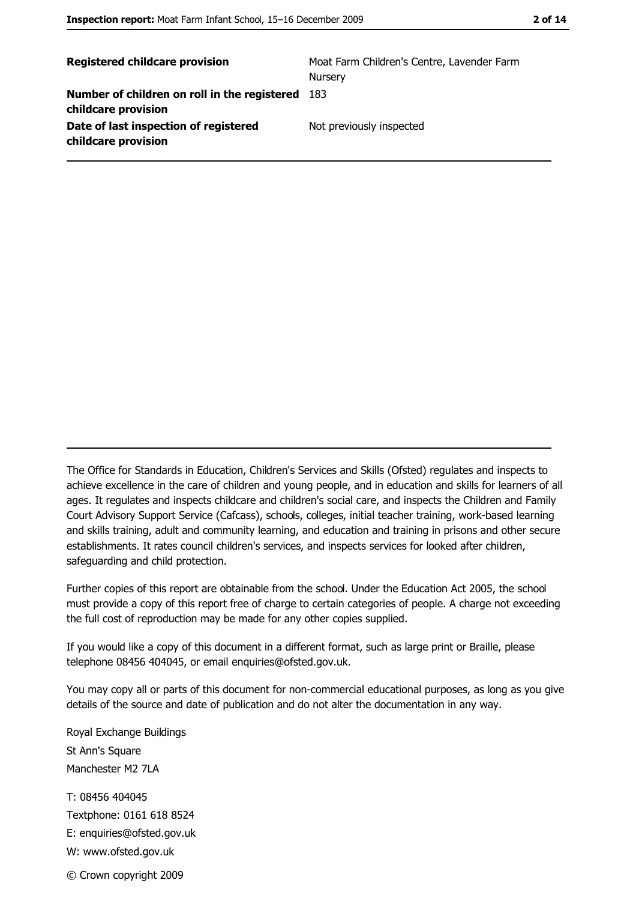| <b>Registered childcare provision</b>                               | Moat Farm Children's Centre, Lavender Farm<br>Nursery |
|---------------------------------------------------------------------|-------------------------------------------------------|
| Number of children on roll in the registered<br>childcare provision | -183                                                  |
| Date of last inspection of registered<br>childcare provision        | Not previously inspected                              |

The Office for Standards in Education, Children's Services and Skills (Ofsted) regulates and inspects to achieve excellence in the care of children and young people, and in education and skills for learners of all ages. It regulates and inspects childcare and children's social care, and inspects the Children and Family Court Advisory Support Service (Cafcass), schools, colleges, initial teacher training, work-based learning and skills training, adult and community learning, and education and training in prisons and other secure establishments. It rates council children's services, and inspects services for looked after children, safequarding and child protection.

Further copies of this report are obtainable from the school. Under the Education Act 2005, the school must provide a copy of this report free of charge to certain categories of people. A charge not exceeding the full cost of reproduction may be made for any other copies supplied.

If you would like a copy of this document in a different format, such as large print or Braille, please telephone 08456 404045, or email enquiries@ofsted.gov.uk.

You may copy all or parts of this document for non-commercial educational purposes, as long as you give details of the source and date of publication and do not alter the documentation in any way.

Royal Exchange Buildings St Ann's Square Manchester M2 7LA T: 08456 404045 Textphone: 0161 618 8524 E: enquiries@ofsted.gov.uk W: www.ofsted.gov.uk © Crown copyright 2009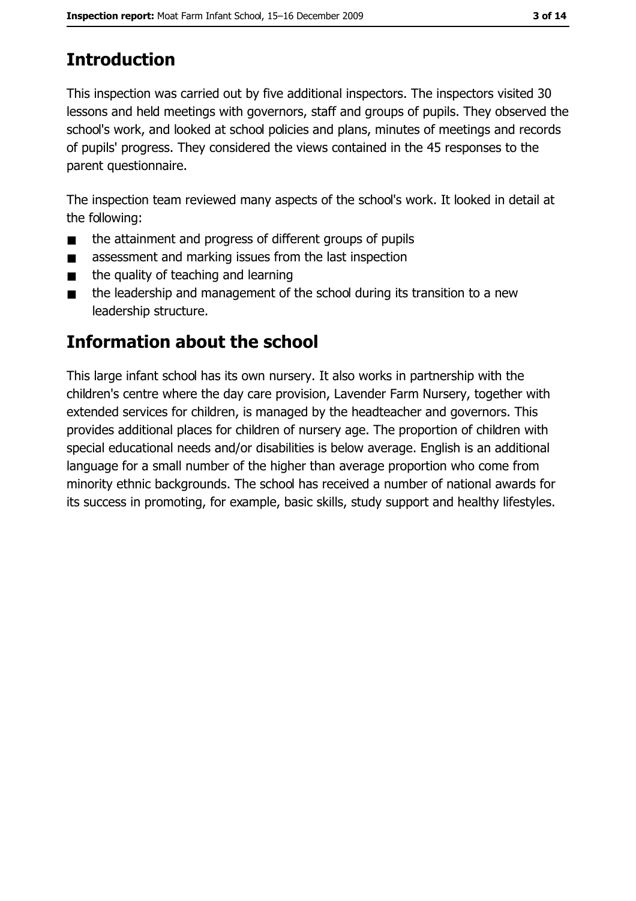## **Introduction**

This inspection was carried out by five additional inspectors. The inspectors visited 30 lessons and held meetings with governors, staff and groups of pupils. They observed the school's work, and looked at school policies and plans, minutes of meetings and records of pupils' progress. They considered the views contained in the 45 responses to the parent questionnaire.

The inspection team reviewed many aspects of the school's work. It looked in detail at the following:

- the attainment and progress of different groups of pupils  $\blacksquare$
- assessment and marking issues from the last inspection  $\blacksquare$
- the quality of teaching and learning  $\blacksquare$
- the leadership and management of the school during its transition to a new  $\blacksquare$ leadership structure.

### Information about the school

This large infant school has its own nursery. It also works in partnership with the children's centre where the day care provision, Lavender Farm Nursery, together with extended services for children, is managed by the headteacher and governors. This provides additional places for children of nursery age. The proportion of children with special educational needs and/or disabilities is below average. English is an additional language for a small number of the higher than average proportion who come from minority ethnic backgrounds. The school has received a number of national awards for its success in promoting, for example, basic skills, study support and healthy lifestyles.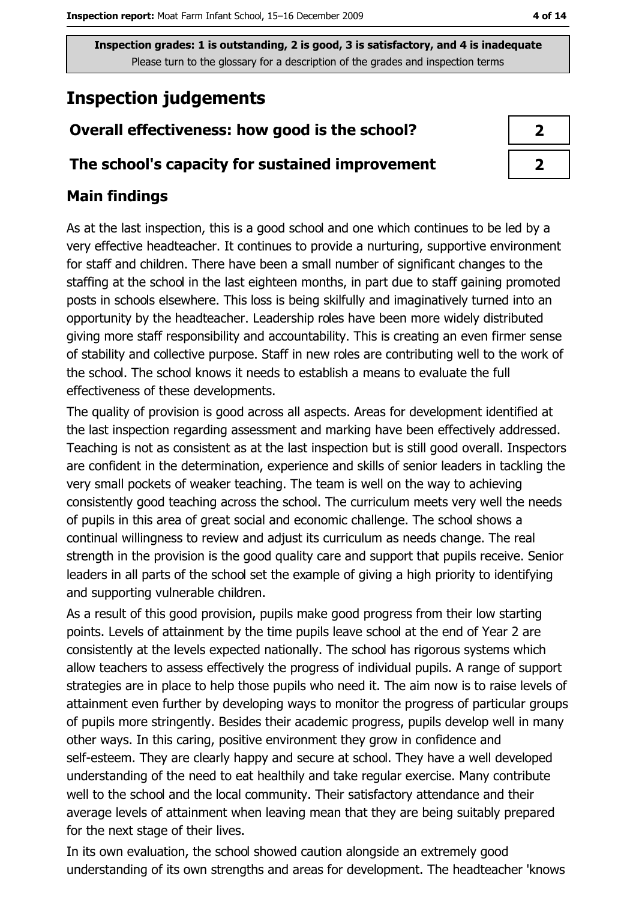## **Inspection judgements**

#### Overall effectiveness: how good is the school?

#### The school's capacity for sustained improvement

#### **Main findings**

As at the last inspection, this is a good school and one which continues to be led by a very effective headteacher. It continues to provide a nurturing, supportive environment for staff and children. There have been a small number of significant changes to the staffing at the school in the last eighteen months, in part due to staff gaining promoted posts in schools elsewhere. This loss is being skilfully and imaginatively turned into an opportunity by the headteacher. Leadership roles have been more widely distributed giving more staff responsibility and accountability. This is creating an even firmer sense of stability and collective purpose. Staff in new roles are contributing well to the work of the school. The school knows it needs to establish a means to evaluate the full effectiveness of these developments.

The quality of provision is good across all aspects. Areas for development identified at the last inspection regarding assessment and marking have been effectively addressed. Teaching is not as consistent as at the last inspection but is still good overall. Inspectors are confident in the determination, experience and skills of senior leaders in tackling the very small pockets of weaker teaching. The team is well on the way to achieving consistently good teaching across the school. The curriculum meets very well the needs of pupils in this area of great social and economic challenge. The school shows a continual willingness to review and adjust its curriculum as needs change. The real strength in the provision is the good quality care and support that pupils receive. Senior leaders in all parts of the school set the example of giving a high priority to identifying and supporting vulnerable children.

As a result of this good provision, pupils make good progress from their low starting points. Levels of attainment by the time pupils leave school at the end of Year 2 are consistently at the levels expected nationally. The school has rigorous systems which allow teachers to assess effectively the progress of individual pupils. A range of support strategies are in place to help those pupils who need it. The aim now is to raise levels of attainment even further by developing ways to monitor the progress of particular groups of pupils more stringently. Besides their academic progress, pupils develop well in many other ways. In this caring, positive environment they grow in confidence and self-esteem. They are clearly happy and secure at school. They have a well developed understanding of the need to eat healthily and take regular exercise. Many contribute well to the school and the local community. Their satisfactory attendance and their average levels of attainment when leaving mean that they are being suitably prepared for the next stage of their lives.

In its own evaluation, the school showed caution alongside an extremely good understanding of its own strengths and areas for development. The headteacher 'knows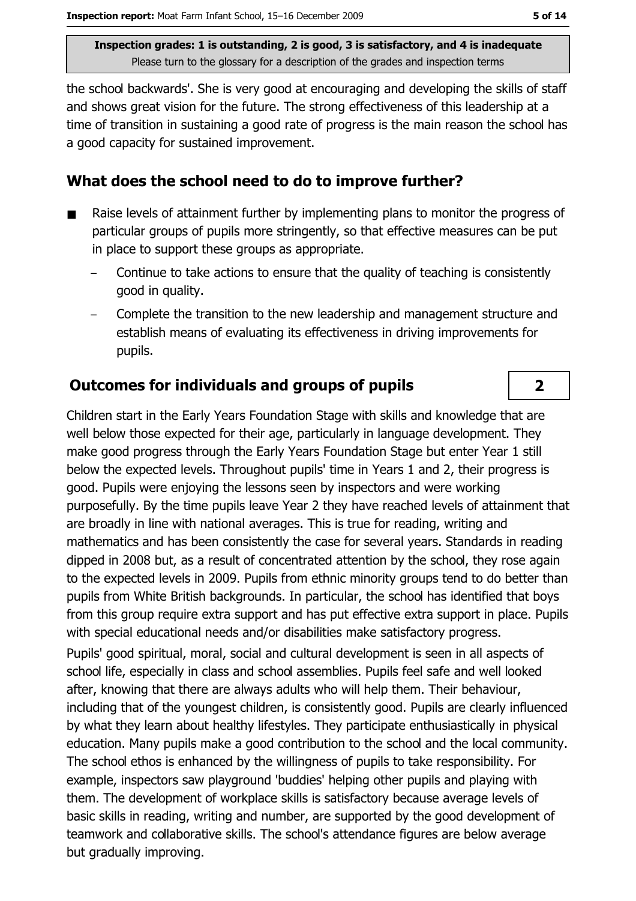the school backwards'. She is very good at encouraging and developing the skills of staff and shows great vision for the future. The strong effectiveness of this leadership at a time of transition in sustaining a good rate of progress is the main reason the school has a good capacity for sustained improvement.

#### What does the school need to do to improve further?

- Raise levels of attainment further by implementing plans to monitor the progress of particular groups of pupils more stringently, so that effective measures can be put in place to support these groups as appropriate.
	- Continue to take actions to ensure that the quality of teaching is consistently good in quality.
	- Complete the transition to the new leadership and management structure and establish means of evaluating its effectiveness in driving improvements for pupils.

#### **Outcomes for individuals and groups of pupils**

Children start in the Early Years Foundation Stage with skills and knowledge that are well below those expected for their age, particularly in language development. They make good progress through the Early Years Foundation Stage but enter Year 1 still below the expected levels. Throughout pupils' time in Years 1 and 2, their progress is good. Pupils were enjoying the lessons seen by inspectors and were working purposefully. By the time pupils leave Year 2 they have reached levels of attainment that are broadly in line with national averages. This is true for reading, writing and mathematics and has been consistently the case for several years. Standards in reading dipped in 2008 but, as a result of concentrated attention by the school, they rose again to the expected levels in 2009. Pupils from ethnic minority groups tend to do better than pupils from White British backgrounds. In particular, the school has identified that boys from this group require extra support and has put effective extra support in place. Pupils with special educational needs and/or disabilities make satisfactory progress.

Pupils' good spiritual, moral, social and cultural development is seen in all aspects of school life, especially in class and school assemblies. Pupils feel safe and well looked after, knowing that there are always adults who will help them. Their behaviour, including that of the youngest children, is consistently good. Pupils are clearly influenced by what they learn about healthy lifestyles. They participate enthusiastically in physical education. Many pupils make a good contribution to the school and the local community. The school ethos is enhanced by the willingness of pupils to take responsibility. For example, inspectors saw playground 'buddies' helping other pupils and playing with them. The development of workplace skills is satisfactory because average levels of basic skills in reading, writing and number, are supported by the good development of teamwork and collaborative skills. The school's attendance figures are below average but gradually improving.

 $\overline{2}$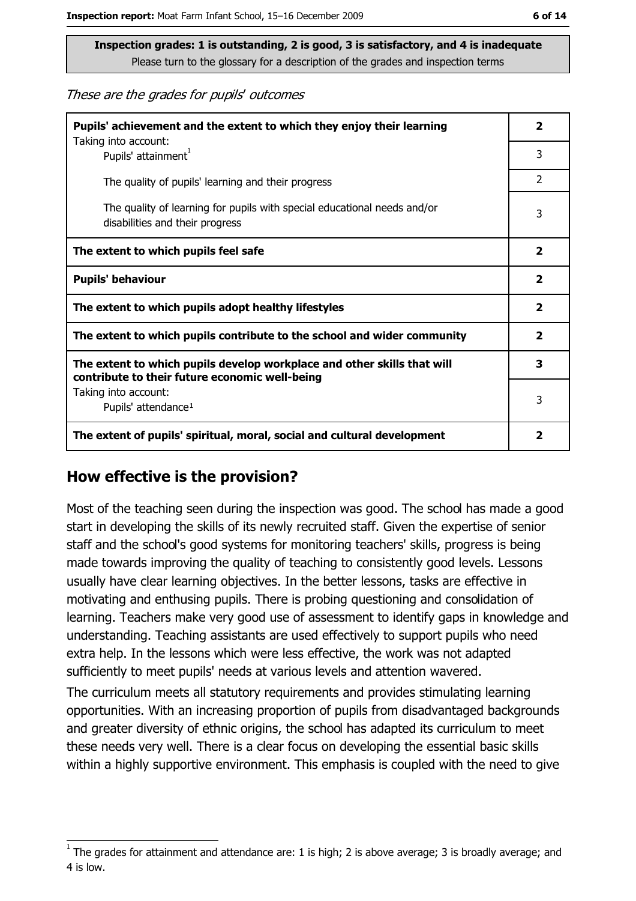These are the grades for pupils' outcomes

| Pupils' achievement and the extent to which they enjoy their learning                                                     |                |  |
|---------------------------------------------------------------------------------------------------------------------------|----------------|--|
| Taking into account:<br>Pupils' attainment <sup>1</sup>                                                                   | 3              |  |
| The quality of pupils' learning and their progress                                                                        | $\overline{2}$ |  |
| The quality of learning for pupils with special educational needs and/or<br>disabilities and their progress               |                |  |
| The extent to which pupils feel safe                                                                                      |                |  |
| <b>Pupils' behaviour</b>                                                                                                  |                |  |
| The extent to which pupils adopt healthy lifestyles                                                                       |                |  |
| The extent to which pupils contribute to the school and wider community                                                   |                |  |
| The extent to which pupils develop workplace and other skills that will<br>contribute to their future economic well-being |                |  |
| Taking into account:<br>Pupils' attendance <sup>1</sup>                                                                   |                |  |
| The extent of pupils' spiritual, moral, social and cultural development                                                   |                |  |

#### How effective is the provision?

Most of the teaching seen during the inspection was good. The school has made a good start in developing the skills of its newly recruited staff. Given the expertise of senior staff and the school's good systems for monitoring teachers' skills, progress is being made towards improving the quality of teaching to consistently good levels. Lessons usually have clear learning objectives. In the better lessons, tasks are effective in motivating and enthusing pupils. There is probing questioning and consolidation of learning. Teachers make very good use of assessment to identify gaps in knowledge and understanding. Teaching assistants are used effectively to support pupils who need extra help. In the lessons which were less effective, the work was not adapted sufficiently to meet pupils' needs at various levels and attention wavered.

The curriculum meets all statutory requirements and provides stimulating learning opportunities. With an increasing proportion of pupils from disadvantaged backgrounds and greater diversity of ethnic origins, the school has adapted its curriculum to meet these needs very well. There is a clear focus on developing the essential basic skills within a highly supportive environment. This emphasis is coupled with the need to give

The grades for attainment and attendance are: 1 is high; 2 is above average; 3 is broadly average; and 4 is low.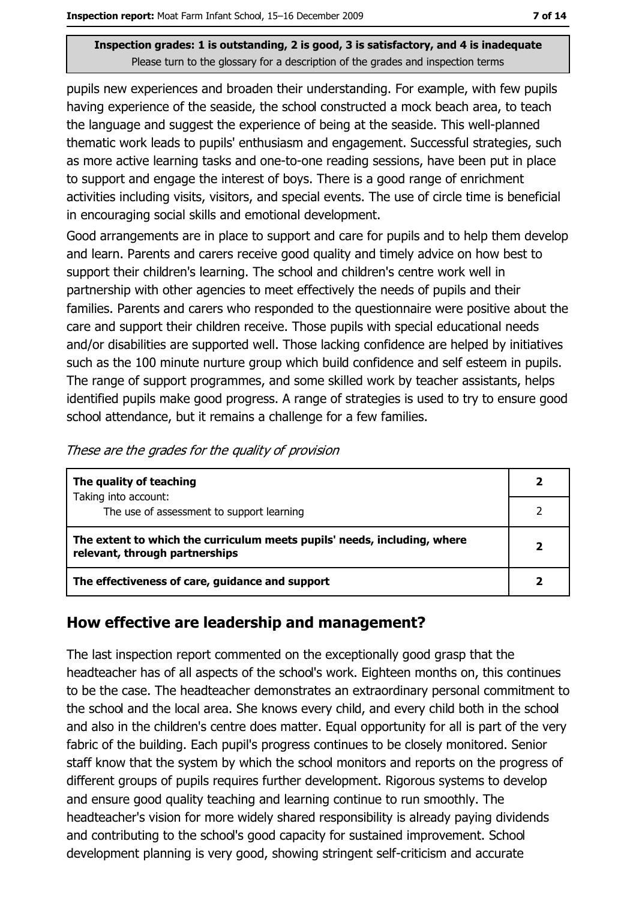pupils new experiences and broaden their understanding. For example, with few pupils having experience of the seaside, the school constructed a mock beach area, to teach the language and suggest the experience of being at the seaside. This well-planned thematic work leads to pupils' enthusiasm and engagement. Successful strategies, such as more active learning tasks and one-to-one reading sessions, have been put in place to support and engage the interest of boys. There is a good range of enrichment activities including visits, visitors, and special events. The use of circle time is beneficial in encouraging social skills and emotional development.

Good arrangements are in place to support and care for pupils and to help them develop and learn. Parents and carers receive good quality and timely advice on how best to support their children's learning. The school and children's centre work well in partnership with other agencies to meet effectively the needs of pupils and their families. Parents and carers who responded to the questionnaire were positive about the care and support their children receive. Those pupils with special educational needs and/or disabilities are supported well. Those lacking confidence are helped by initiatives such as the 100 minute nurture group which build confidence and self esteem in pupils. The range of support programmes, and some skilled work by teacher assistants, helps identified pupils make good progress. A range of strategies is used to try to ensure good school attendance, but it remains a challenge for a few families.

| The quality of teaching                                                                                    |  |
|------------------------------------------------------------------------------------------------------------|--|
| Taking into account:<br>The use of assessment to support learning                                          |  |
| The extent to which the curriculum meets pupils' needs, including, where<br>relevant, through partnerships |  |
| The effectiveness of care, guidance and support                                                            |  |

#### How effective are leadership and management?

The last inspection report commented on the exceptionally good grasp that the headteacher has of all aspects of the school's work. Eighteen months on, this continues to be the case. The headteacher demonstrates an extraordinary personal commitment to the school and the local area. She knows every child, and every child both in the school and also in the children's centre does matter. Equal opportunity for all is part of the very fabric of the building. Each pupil's progress continues to be closely monitored. Senior staff know that the system by which the school monitors and reports on the progress of different groups of pupils requires further development. Rigorous systems to develop and ensure good quality teaching and learning continue to run smoothly. The headteacher's vision for more widely shared responsibility is already paying dividends and contributing to the school's good capacity for sustained improvement. School development planning is very good, showing stringent self-criticism and accurate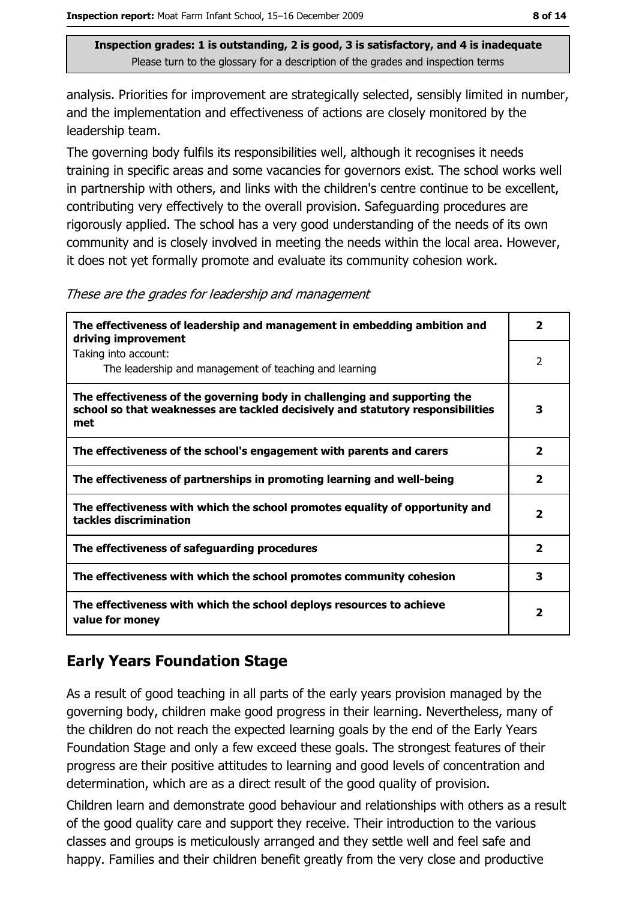analysis. Priorities for improvement are strategically selected, sensibly limited in number, and the implementation and effectiveness of actions are closely monitored by the leadership team.

The governing body fulfils its responsibilities well, although it recognises it needs training in specific areas and some vacancies for governors exist. The school works well in partnership with others, and links with the children's centre continue to be excellent, contributing very effectively to the overall provision. Safeguarding procedures are rigorously applied. The school has a very good understanding of the needs of its own community and is closely involved in meeting the needs within the local area. However, it does not yet formally promote and evaluate its community cohesion work.

These are the grades for leadership and management

| The effectiveness of leadership and management in embedding ambition and<br>driving improvement                                                                     |                         |  |
|---------------------------------------------------------------------------------------------------------------------------------------------------------------------|-------------------------|--|
| Taking into account:<br>The leadership and management of teaching and learning                                                                                      | 2                       |  |
| The effectiveness of the governing body in challenging and supporting the<br>school so that weaknesses are tackled decisively and statutory responsibilities<br>met |                         |  |
| The effectiveness of the school's engagement with parents and carers                                                                                                | $\overline{\mathbf{2}}$ |  |
| The effectiveness of partnerships in promoting learning and well-being                                                                                              | $\mathbf{z}$            |  |
| The effectiveness with which the school promotes equality of opportunity and<br>tackles discrimination                                                              | $\overline{\mathbf{2}}$ |  |
| The effectiveness of safeguarding procedures                                                                                                                        |                         |  |
| The effectiveness with which the school promotes community cohesion                                                                                                 |                         |  |
| The effectiveness with which the school deploys resources to achieve<br>value for money                                                                             |                         |  |

#### **Early Years Foundation Stage**

As a result of good teaching in all parts of the early years provision managed by the governing body, children make good progress in their learning. Nevertheless, many of the children do not reach the expected learning goals by the end of the Early Years Foundation Stage and only a few exceed these goals. The strongest features of their progress are their positive attitudes to learning and good levels of concentration and determination, which are as a direct result of the good quality of provision.

Children learn and demonstrate good behaviour and relationships with others as a result of the good quality care and support they receive. Their introduction to the various classes and groups is meticulously arranged and they settle well and feel safe and happy. Families and their children benefit greatly from the very close and productive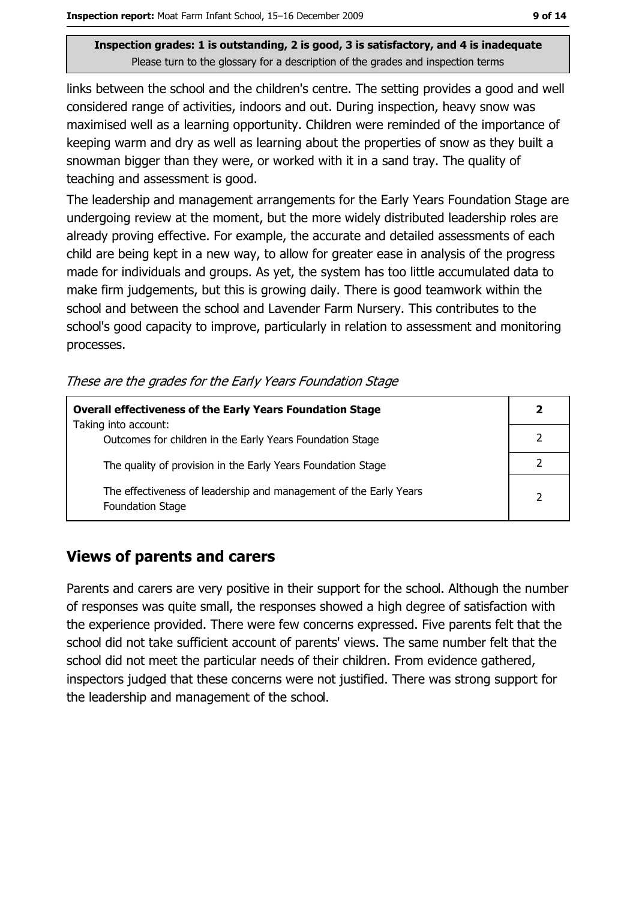links between the school and the children's centre. The setting provides a good and well considered range of activities, indoors and out. During inspection, heavy snow was maximised well as a learning opportunity. Children were reminded of the importance of keeping warm and dry as well as learning about the properties of snow as they built a snowman bigger than they were, or worked with it in a sand tray. The quality of teaching and assessment is good.

The leadership and management arrangements for the Early Years Foundation Stage are undergoing review at the moment, but the more widely distributed leadership roles are already proving effective. For example, the accurate and detailed assessments of each child are being kept in a new way, to allow for greater ease in analysis of the progress made for individuals and groups. As yet, the system has too little accumulated data to make firm judgements, but this is growing daily. There is good teamwork within the school and between the school and Lavender Farm Nursery. This contributes to the school's good capacity to improve, particularly in relation to assessment and monitoring processes.

These are the grades for the Early Years Foundation Stage

| <b>Overall effectiveness of the Early Years Foundation Stage</b>                             |                          |  |
|----------------------------------------------------------------------------------------------|--------------------------|--|
| Taking into account:<br>Outcomes for children in the Early Years Foundation Stage            |                          |  |
| The quality of provision in the Early Years Foundation Stage                                 |                          |  |
| The effectiveness of leadership and management of the Early Years<br><b>Foundation Stage</b> | $\overline{\phantom{a}}$ |  |

#### **Views of parents and carers**

Parents and carers are very positive in their support for the school. Although the number of responses was quite small, the responses showed a high degree of satisfaction with the experience provided. There were few concerns expressed. Five parents felt that the school did not take sufficient account of parents' views. The same number felt that the school did not meet the particular needs of their children. From evidence gathered, inspectors judged that these concerns were not justified. There was strong support for the leadership and management of the school.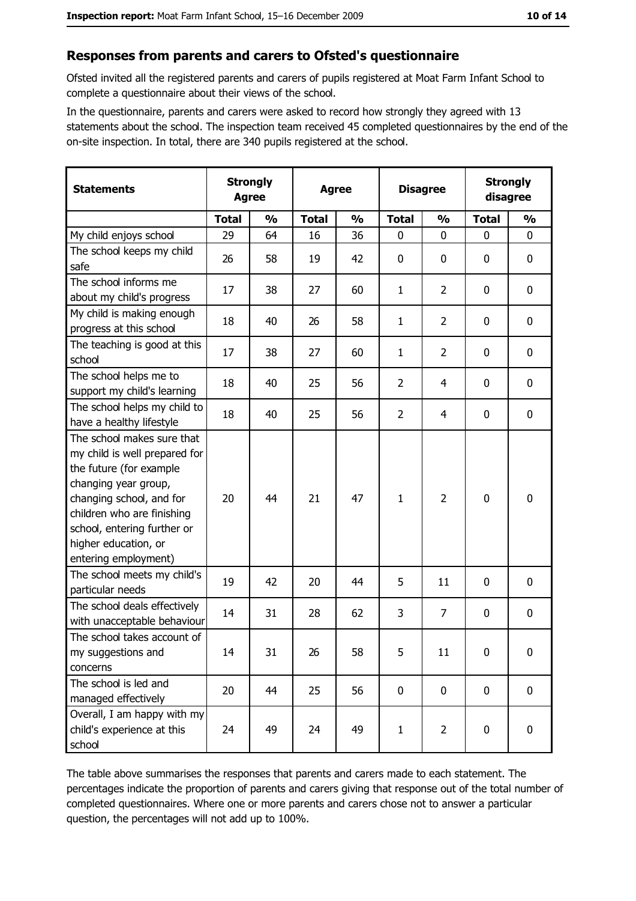#### Responses from parents and carers to Ofsted's questionnaire

Ofsted invited all the registered parents and carers of pupils registered at Moat Farm Infant School to complete a questionnaire about their views of the school.

In the questionnaire, parents and carers were asked to record how strongly they agreed with 13 statements about the school. The inspection team received 45 completed questionnaires by the end of the on-site inspection. In total, there are 340 pupils registered at the school.

| <b>Statements</b>                                                                                                                                                                                                                                       | <b>Strongly</b><br><b>Agree</b> |               | <b>Agree</b> |               | <b>Disagree</b> |                | <b>Strongly</b><br>disagree |                  |
|---------------------------------------------------------------------------------------------------------------------------------------------------------------------------------------------------------------------------------------------------------|---------------------------------|---------------|--------------|---------------|-----------------|----------------|-----------------------------|------------------|
|                                                                                                                                                                                                                                                         | <b>Total</b>                    | $\frac{0}{0}$ | <b>Total</b> | $\frac{0}{0}$ | <b>Total</b>    | $\frac{0}{0}$  | <b>Total</b>                | $\frac{0}{0}$    |
| My child enjoys school                                                                                                                                                                                                                                  | 29                              | 64            | 16           | 36            | $\mathbf 0$     | 0              | $\mathbf{0}$                | $\mathbf 0$      |
| The school keeps my child<br>safe                                                                                                                                                                                                                       | 26                              | 58            | 19           | 42            | $\mathbf 0$     | 0              | 0                           | $\boldsymbol{0}$ |
| The school informs me<br>about my child's progress                                                                                                                                                                                                      | 17                              | 38            | 27           | 60            | $\mathbf{1}$    | $\overline{2}$ | 0                           | 0                |
| My child is making enough<br>progress at this school                                                                                                                                                                                                    | 18                              | 40            | 26           | 58            | $\mathbf{1}$    | $\overline{2}$ | 0                           | 0                |
| The teaching is good at this<br>school                                                                                                                                                                                                                  | 17                              | 38            | 27           | 60            | 1               | $\overline{2}$ | 0                           | $\mathbf 0$      |
| The school helps me to<br>support my child's learning                                                                                                                                                                                                   | 18                              | 40            | 25           | 56            | $\overline{2}$  | 4              | 0                           | $\mathbf 0$      |
| The school helps my child to<br>have a healthy lifestyle                                                                                                                                                                                                | 18                              | 40            | 25           | 56            | $\overline{2}$  | 4              | $\mathbf 0$                 | $\mathbf 0$      |
| The school makes sure that<br>my child is well prepared for<br>the future (for example<br>changing year group,<br>changing school, and for<br>children who are finishing<br>school, entering further or<br>higher education, or<br>entering employment) | 20                              | 44            | 21           | 47            | $\mathbf{1}$    | $\overline{2}$ | 0                           | $\mathbf 0$      |
| The school meets my child's<br>particular needs                                                                                                                                                                                                         | 19                              | 42            | 20           | 44            | 5               | 11             | 0                           | $\bf{0}$         |
| The school deals effectively<br>with unacceptable behaviour                                                                                                                                                                                             | 14                              | 31            | 28           | 62            | 3               | $\overline{7}$ | 0                           | 0                |
| The school takes account of<br>my suggestions and<br>concerns                                                                                                                                                                                           | 14                              | 31            | 26           | 58            | 5               | 11             | $\mathbf 0$                 | $\mathbf 0$      |
| The school is led and<br>managed effectively                                                                                                                                                                                                            | 20                              | 44            | 25           | 56            | $\mathbf 0$     | $\mathbf 0$    | 0                           | $\mathbf 0$      |
| Overall, I am happy with my<br>child's experience at this<br>school                                                                                                                                                                                     | 24                              | 49            | 24           | 49            | $\mathbf{1}$    | $\overline{2}$ | 0                           | 0                |

The table above summarises the responses that parents and carers made to each statement. The percentages indicate the proportion of parents and carers giving that response out of the total number of completed questionnaires. Where one or more parents and carers chose not to answer a particular question, the percentages will not add up to 100%.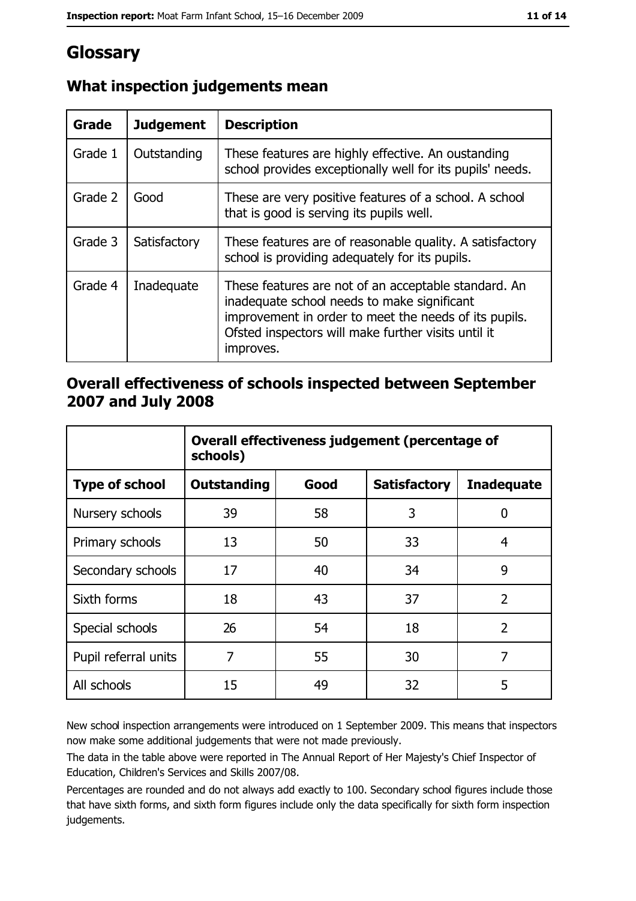## Glossary

| Grade   | <b>Judgement</b> | <b>Description</b>                                                                                                                                                                                                               |
|---------|------------------|----------------------------------------------------------------------------------------------------------------------------------------------------------------------------------------------------------------------------------|
| Grade 1 | Outstanding      | These features are highly effective. An oustanding<br>school provides exceptionally well for its pupils' needs.                                                                                                                  |
| Grade 2 | Good             | These are very positive features of a school. A school<br>that is good is serving its pupils well.                                                                                                                               |
| Grade 3 | Satisfactory     | These features are of reasonable quality. A satisfactory<br>school is providing adequately for its pupils.                                                                                                                       |
| Grade 4 | Inadequate       | These features are not of an acceptable standard. An<br>inadequate school needs to make significant<br>improvement in order to meet the needs of its pupils.<br>Ofsted inspectors will make further visits until it<br>improves. |

#### What inspection judgements mean

#### Overall effectiveness of schools inspected between September 2007 and July 2008

|                       | Overall effectiveness judgement (percentage of<br>schools) |      |                     |                   |  |
|-----------------------|------------------------------------------------------------|------|---------------------|-------------------|--|
| <b>Type of school</b> | <b>Outstanding</b>                                         | Good | <b>Satisfactory</b> | <b>Inadequate</b> |  |
| Nursery schools       | 39                                                         | 58   | 3                   | 0                 |  |
| Primary schools       | 13                                                         | 50   | 33                  | 4                 |  |
| Secondary schools     | 17                                                         | 40   | 34                  | 9                 |  |
| Sixth forms           | 18                                                         | 43   | 37                  | $\overline{2}$    |  |
| Special schools       | 26                                                         | 54   | 18                  | $\overline{2}$    |  |
| Pupil referral units  | 7                                                          | 55   | 30                  | 7                 |  |
| All schools           | 15                                                         | 49   | 32                  | 5                 |  |

New school inspection arrangements were introduced on 1 September 2009. This means that inspectors now make some additional judgements that were not made previously.

The data in the table above were reported in The Annual Report of Her Majesty's Chief Inspector of Education, Children's Services and Skills 2007/08.

Percentages are rounded and do not always add exactly to 100. Secondary school figures include those that have sixth forms, and sixth form figures include only the data specifically for sixth form inspection judgements.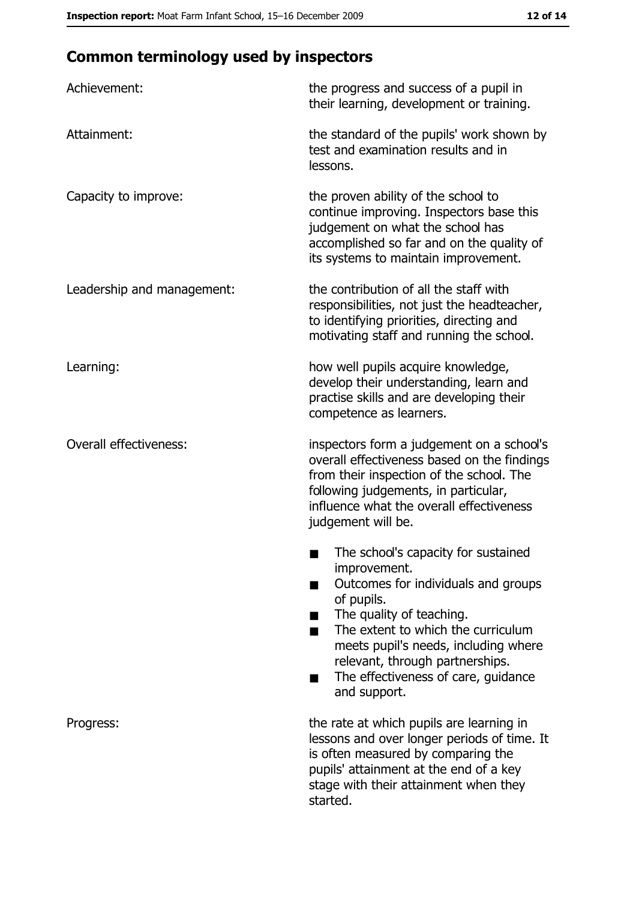## **Common terminology used by inspectors**

| Achievement:                  | the progress and success of a pupil in<br>their learning, development or training.                                                                                                                                                                                                                           |
|-------------------------------|--------------------------------------------------------------------------------------------------------------------------------------------------------------------------------------------------------------------------------------------------------------------------------------------------------------|
| Attainment:                   | the standard of the pupils' work shown by<br>test and examination results and in<br>lessons.                                                                                                                                                                                                                 |
| Capacity to improve:          | the proven ability of the school to<br>continue improving. Inspectors base this<br>judgement on what the school has<br>accomplished so far and on the quality of<br>its systems to maintain improvement.                                                                                                     |
| Leadership and management:    | the contribution of all the staff with<br>responsibilities, not just the headteacher,<br>to identifying priorities, directing and<br>motivating staff and running the school.                                                                                                                                |
| Learning:                     | how well pupils acquire knowledge,<br>develop their understanding, learn and<br>practise skills and are developing their<br>competence as learners.                                                                                                                                                          |
| <b>Overall effectiveness:</b> | inspectors form a judgement on a school's<br>overall effectiveness based on the findings<br>from their inspection of the school. The<br>following judgements, in particular,<br>influence what the overall effectiveness<br>judgement will be.                                                               |
|                               | The school's capacity for sustained<br>improvement.<br>Outcomes for individuals and groups<br>of pupils.<br>The quality of teaching.<br>The extent to which the curriculum<br>meets pupil's needs, including where<br>relevant, through partnerships.<br>The effectiveness of care, guidance<br>and support. |
| Progress:                     | the rate at which pupils are learning in<br>lessons and over longer periods of time. It<br>is often measured by comparing the<br>pupils' attainment at the end of a key<br>stage with their attainment when they<br>started.                                                                                 |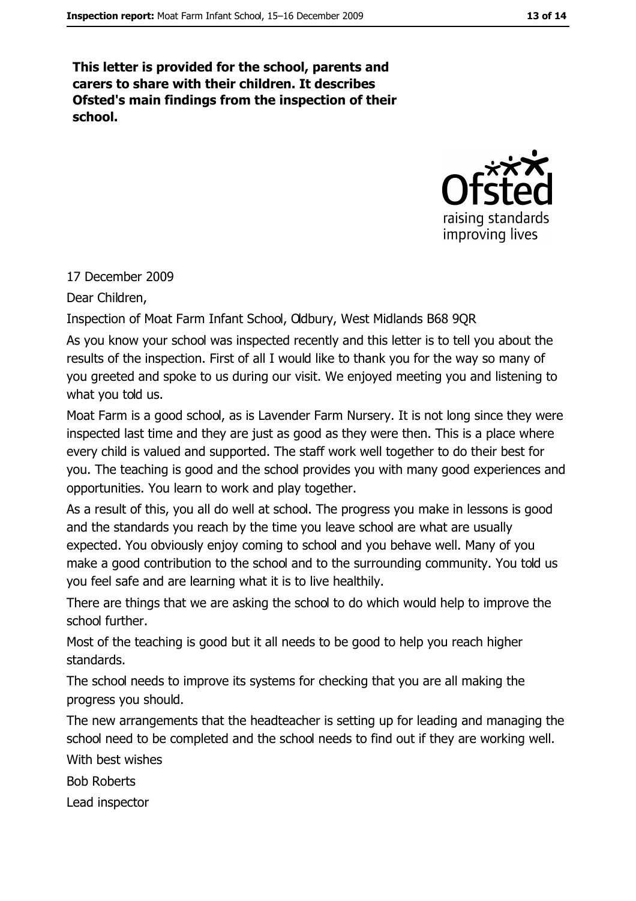This letter is provided for the school, parents and carers to share with their children. It describes Ofsted's main findings from the inspection of their school.



#### 17 December 2009

Dear Children,

Inspection of Moat Farm Infant School, Odbury, West Midlands B68 9QR

As you know your school was inspected recently and this letter is to tell you about the results of the inspection. First of all I would like to thank you for the way so many of you greeted and spoke to us during our visit. We enjoyed meeting you and listening to what you told us.

Moat Farm is a good school, as is Lavender Farm Nursery. It is not long since they were inspected last time and they are just as good as they were then. This is a place where every child is valued and supported. The staff work well together to do their best for you. The teaching is good and the school provides you with many good experiences and opportunities. You learn to work and play together.

As a result of this, you all do well at school. The progress you make in lessons is good and the standards you reach by the time you leave school are what are usually expected. You obviously enjoy coming to school and you behave well. Many of you make a good contribution to the school and to the surrounding community. You told us you feel safe and are learning what it is to live healthily.

There are things that we are asking the school to do which would help to improve the school further.

Most of the teaching is good but it all needs to be good to help you reach higher standards.

The school needs to improve its systems for checking that you are all making the progress you should.

The new arrangements that the headteacher is setting up for leading and managing the school need to be completed and the school needs to find out if they are working well.

With hest wishes

**Bob Roberts** 

Lead inspector